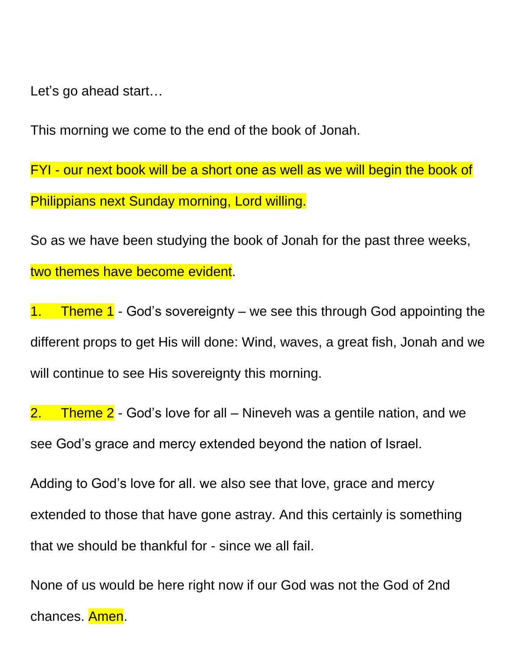Let's go ahead start…

This morning we come to the end of the book of Jonah.

FYI - our next book will be a short one as well as we will begin the book of Philippians next Sunday morning, Lord willing.

So as we have been studying the book of Jonah for the past three weeks, two themes have become evident.

1. Theme 1 - God's sovereignty – we see this through God appointing the different props to get His will done: Wind, waves, a great fish, Jonah and we will continue to see His sovereignty this morning.

2. Theme 2 - God's love for all – Nineveh was a gentile nation, and we see God's grace and mercy extended beyond the nation of Israel.

Adding to God's love for all. we also see that love, grace and mercy extended to those that have gone astray. And this certainly is something that we should be thankful for - since we all fail.

None of us would be here right now if our God was not the God of 2nd chances. Amen.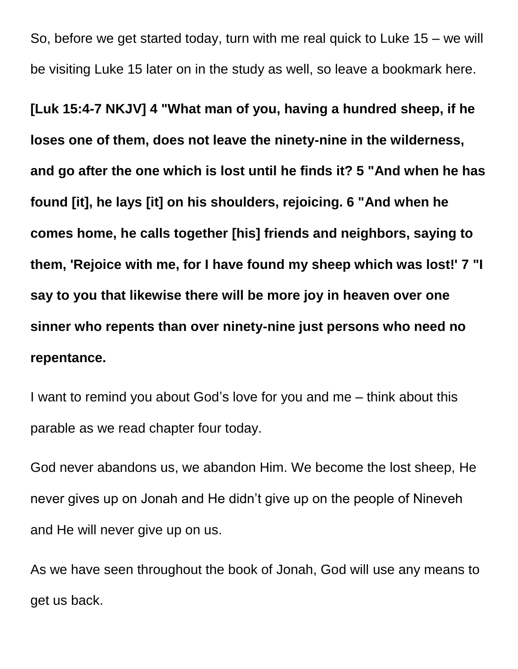So, before we get started today, turn with me real quick to Luke 15 – we will be visiting Luke 15 later on in the study as well, so leave a bookmark here.

**[Luk 15:4-7 NKJV] 4 "What man of you, having a hundred sheep, if he loses one of them, does not leave the ninety-nine in the wilderness, and go after the one which is lost until he finds it? 5 "And when he has found [it], he lays [it] on his shoulders, rejoicing. 6 "And when he comes home, he calls together [his] friends and neighbors, saying to them, 'Rejoice with me, for I have found my sheep which was lost!' 7 "I say to you that likewise there will be more joy in heaven over one sinner who repents than over ninety-nine just persons who need no repentance.**

I want to remind you about God's love for you and me – think about this parable as we read chapter four today.

God never abandons us, we abandon Him. We become the lost sheep, He never gives up on Jonah and He didn't give up on the people of Nineveh and He will never give up on us.

As we have seen throughout the book of Jonah, God will use any means to get us back.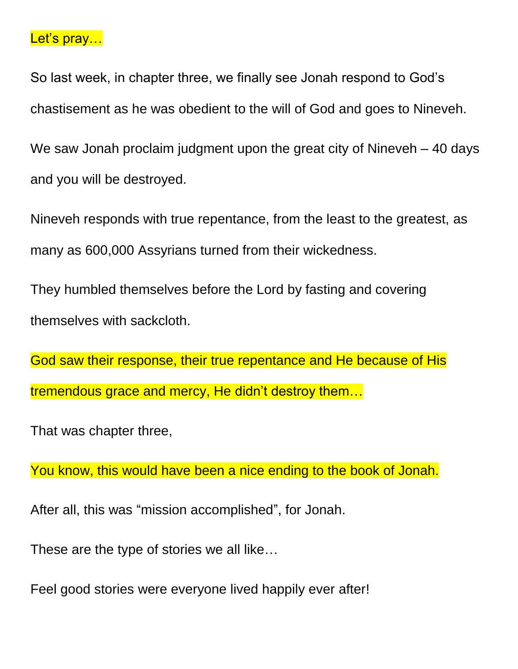### Let's pray...

So last week, in chapter three, we finally see Jonah respond to God's chastisement as he was obedient to the will of God and goes to Nineveh.

We saw Jonah proclaim judgment upon the great city of Nineveh – 40 days and you will be destroyed.

Nineveh responds with true repentance, from the least to the greatest, as many as 600,000 Assyrians turned from their wickedness.

They humbled themselves before the Lord by fasting and covering themselves with sackcloth.

God saw their response, their true repentance and He because of His tremendous grace and mercy, He didn't destroy them…

That was chapter three,

You know, this would have been a nice ending to the book of Jonah.

After all, this was "mission accomplished", for Jonah.

These are the type of stories we all like…

Feel good stories were everyone lived happily ever after!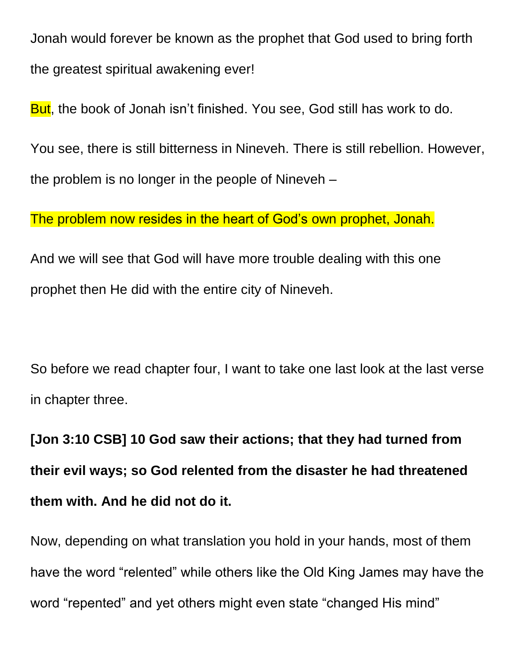Jonah would forever be known as the prophet that God used to bring forth the greatest spiritual awakening ever!

But, the book of Jonah isn't finished. You see, God still has work to do.

You see, there is still bitterness in Nineveh. There is still rebellion. However, the problem is no longer in the people of Nineveh –

The problem now resides in the heart of God's own prophet, Jonah.

And we will see that God will have more trouble dealing with this one prophet then He did with the entire city of Nineveh.

So before we read chapter four, I want to take one last look at the last verse in chapter three.

**[Jon 3:10 CSB] 10 God saw their actions; that they had turned from their evil ways; so God relented from the disaster he had threatened them with. And he did not do it.**

Now, depending on what translation you hold in your hands, most of them have the word "relented" while others like the Old King James may have the word "repented" and yet others might even state "changed His mind"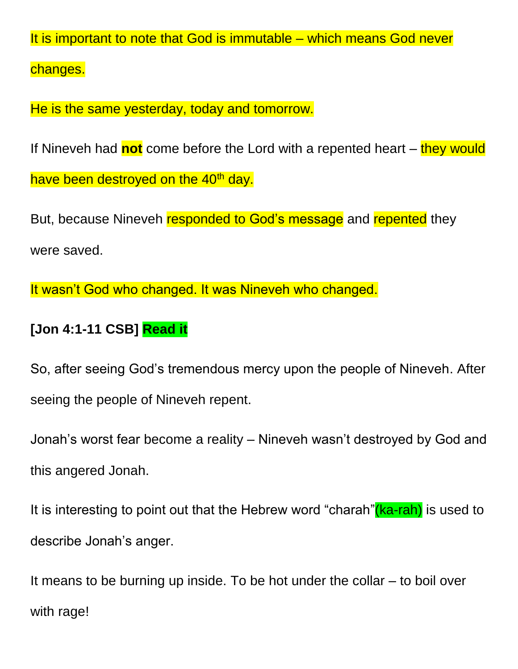It is important to note that God is immutable – which means God never

changes.

He is the same yesterday, today and tomorrow.

If Nineveh had **not** come before the Lord with a repented heart – they would have been destroyed on the 40<sup>th</sup> day.

But, because Nineveh responded to God's message and repented they were saved.

It wasn't God who changed. It was Nineveh who changed.

## **[Jon 4:1-11 CSB] Read it**

So, after seeing God's tremendous mercy upon the people of Nineveh. After seeing the people of Nineveh repent.

Jonah's worst fear become a reality – Nineveh wasn't destroyed by God and this angered Jonah.

It is interesting to point out that the Hebrew word "charah" (ka-rah) is used to describe Jonah's anger.

It means to be burning up inside. To be hot under the collar – to boil over with rage!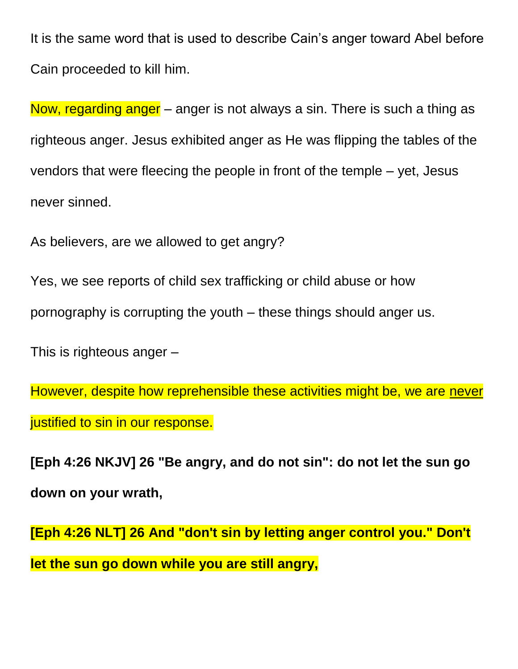It is the same word that is used to describe Cain's anger toward Abel before Cain proceeded to kill him.

Now, regarding anger – anger is not always a sin. There is such a thing as righteous anger. Jesus exhibited anger as He was flipping the tables of the vendors that were fleecing the people in front of the temple – yet, Jesus never sinned.

As believers, are we allowed to get angry?

Yes, we see reports of child sex trafficking or child abuse or how pornography is corrupting the youth – these things should anger us.

This is righteous anger –

However, despite how reprehensible these activities might be, we are never justified to sin in our response.

**[Eph 4:26 NKJV] 26 "Be angry, and do not sin": do not let the sun go down on your wrath,**

**[Eph 4:26 NLT] 26 And "don't sin by letting anger control you." Don't let the sun go down while you are still angry,**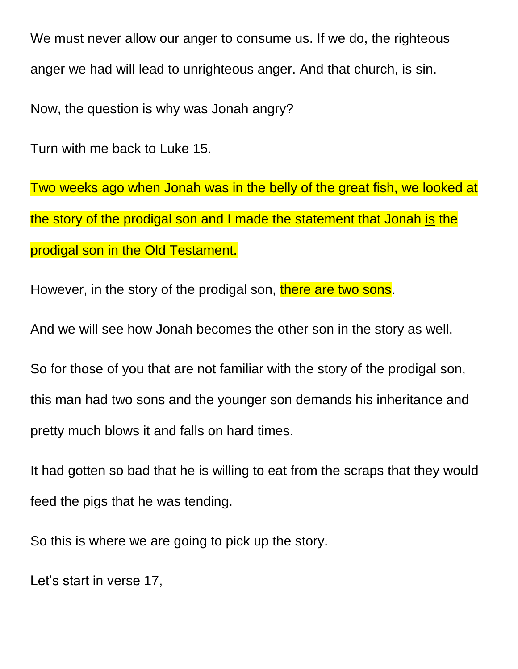We must never allow our anger to consume us. If we do, the righteous anger we had will lead to unrighteous anger. And that church, is sin.

Now, the question is why was Jonah angry?

Turn with me back to Luke 15.

Two weeks ago when Jonah was in the belly of the great fish, we looked at the story of the prodigal son and I made the statement that Jonah is the prodigal son in the Old Testament.

However, in the story of the prodigal son, there are two sons.

And we will see how Jonah becomes the other son in the story as well.

So for those of you that are not familiar with the story of the prodigal son, this man had two sons and the younger son demands his inheritance and pretty much blows it and falls on hard times.

It had gotten so bad that he is willing to eat from the scraps that they would feed the pigs that he was tending.

So this is where we are going to pick up the story.

Let's start in verse 17,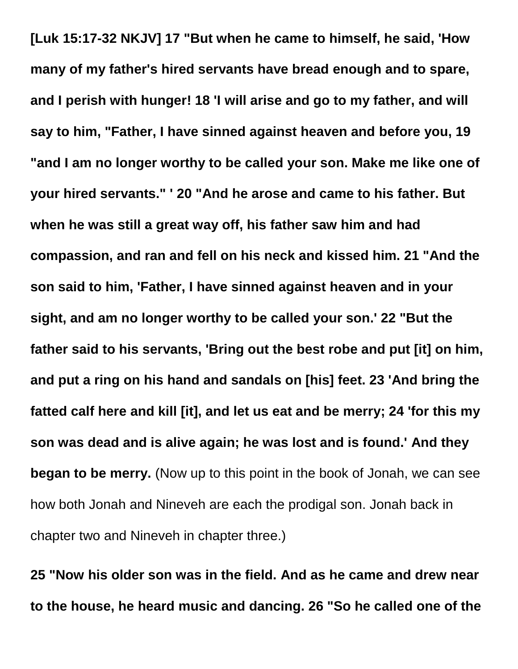**[Luk 15:17-32 NKJV] 17 "But when he came to himself, he said, 'How many of my father's hired servants have bread enough and to spare, and I perish with hunger! 18 'I will arise and go to my father, and will say to him, "Father, I have sinned against heaven and before you, 19 "and I am no longer worthy to be called your son. Make me like one of your hired servants." ' 20 "And he arose and came to his father. But when he was still a great way off, his father saw him and had compassion, and ran and fell on his neck and kissed him. 21 "And the son said to him, 'Father, I have sinned against heaven and in your sight, and am no longer worthy to be called your son.' 22 "But the father said to his servants, 'Bring out the best robe and put [it] on him, and put a ring on his hand and sandals on [his] feet. 23 'And bring the fatted calf here and kill [it], and let us eat and be merry; 24 'for this my son was dead and is alive again; he was lost and is found.' And they began to be merry.** (Now up to this point in the book of Jonah, we can see how both Jonah and Nineveh are each the prodigal son. Jonah back in chapter two and Nineveh in chapter three.)

**25 "Now his older son was in the field. And as he came and drew near to the house, he heard music and dancing. 26 "So he called one of the**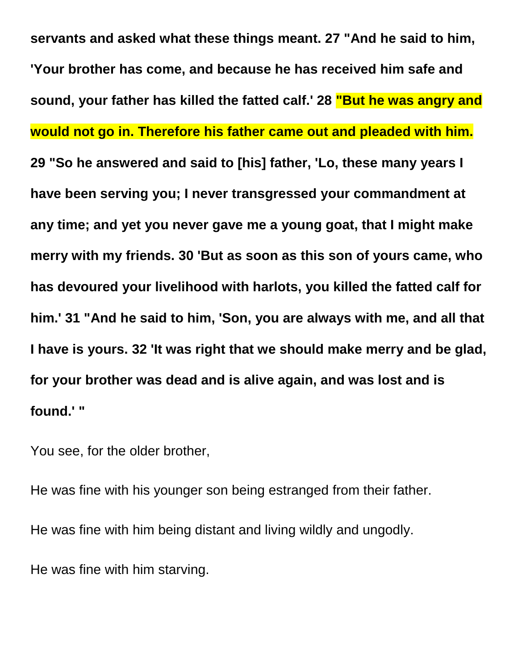**servants and asked what these things meant. 27 "And he said to him, 'Your brother has come, and because he has received him safe and sound, your father has killed the fatted calf.' 28 "But he was angry and would not go in. Therefore his father came out and pleaded with him. 29 "So he answered and said to [his] father, 'Lo, these many years I have been serving you; I never transgressed your commandment at any time; and yet you never gave me a young goat, that I might make merry with my friends. 30 'But as soon as this son of yours came, who has devoured your livelihood with harlots, you killed the fatted calf for him.' 31 "And he said to him, 'Son, you are always with me, and all that I have is yours. 32 'It was right that we should make merry and be glad, for your brother was dead and is alive again, and was lost and is found.' "**

You see, for the older brother,

He was fine with his younger son being estranged from their father. He was fine with him being distant and living wildly and ungodly. He was fine with him starving.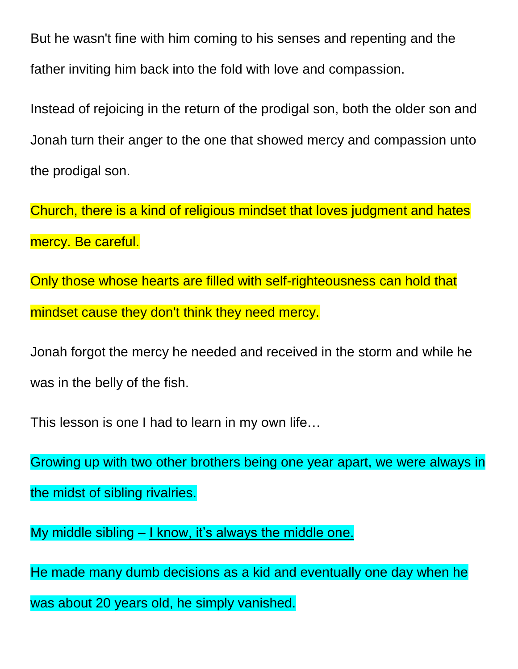But he wasn't fine with him coming to his senses and repenting and the father inviting him back into the fold with love and compassion.

Instead of rejoicing in the return of the prodigal son, both the older son and Jonah turn their anger to the one that showed mercy and compassion unto the prodigal son.

Church, there is a kind of religious mindset that loves judgment and hates mercy. Be careful.

Only those whose hearts are filled with self-righteousness can hold that mindset cause they don't think they need mercy.

Jonah forgot the mercy he needed and received in the storm and while he was in the belly of the fish.

This lesson is one I had to learn in my own life…

Growing up with two other brothers being one year apart, we were always in the midst of sibling rivalries.

My middle sibling - I know, it's always the middle one.

He made many dumb decisions as a kid and eventually one day when he was about 20 years old, he simply vanished.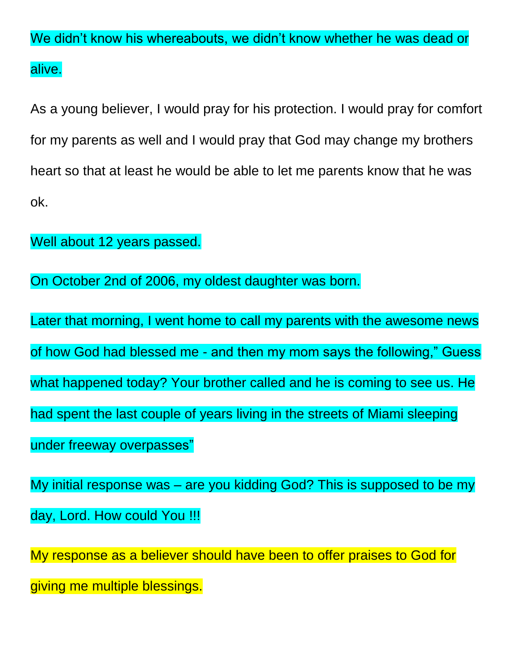We didn't know his whereabouts, we didn't know whether he was dead or alive.

As a young believer, I would pray for his protection. I would pray for comfort for my parents as well and I would pray that God may change my brothers heart so that at least he would be able to let me parents know that he was ok.

Well about 12 years passed.

On October 2nd of 2006, my oldest daughter was born.

Later that morning, I went home to call my parents with the awesome news of how God had blessed me - and then my mom says the following," Guess what happened today? Your brother called and he is coming to see us. He had spent the last couple of years living in the streets of Miami sleeping under freeway overpasses"

My initial response was – are you kidding God? This is supposed to be my day, Lord. How could You !!!

My response as a believer should have been to offer praises to God for giving me multiple blessings.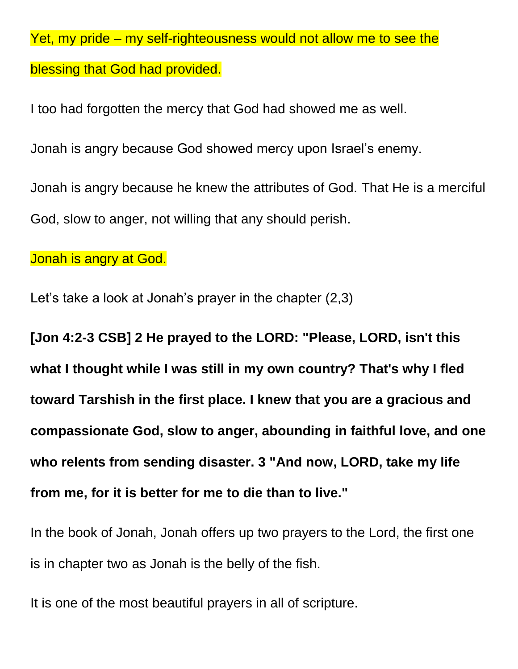Yet, my pride – my self-righteousness would not allow me to see the blessing that God had provided.

I too had forgotten the mercy that God had showed me as well. Jonah is angry because God showed mercy upon Israel's enemy. Jonah is angry because he knew the attributes of God. That He is a merciful God, slow to anger, not willing that any should perish.

Jonah is angry at God.

Let's take a look at Jonah's prayer in the chapter (2,3)

**[Jon 4:2-3 CSB] 2 He prayed to the LORD: "Please, LORD, isn't this what I thought while I was still in my own country? That's why I fled toward Tarshish in the first place. I knew that you are a gracious and compassionate God, slow to anger, abounding in faithful love, and one who relents from sending disaster. 3 "And now, LORD, take my life from me, for it is better for me to die than to live."**

In the book of Jonah, Jonah offers up two prayers to the Lord, the first one is in chapter two as Jonah is the belly of the fish.

It is one of the most beautiful prayers in all of scripture.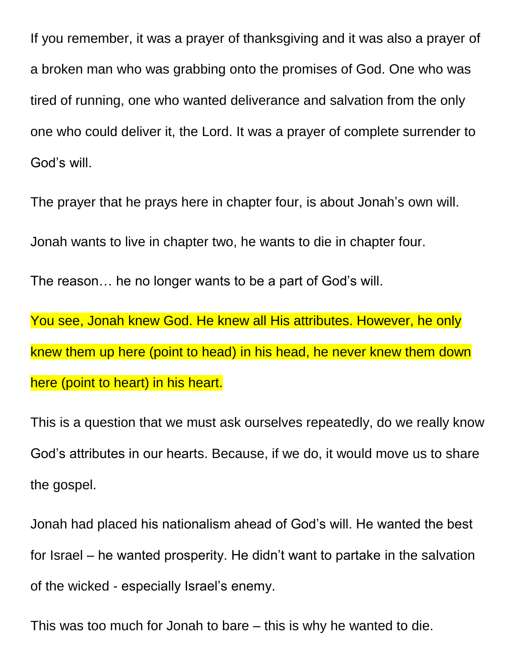If you remember, it was a prayer of thanksgiving and it was also a prayer of a broken man who was grabbing onto the promises of God. One who was tired of running, one who wanted deliverance and salvation from the only one who could deliver it, the Lord. It was a prayer of complete surrender to God's will.

The prayer that he prays here in chapter four, is about Jonah's own will. Jonah wants to live in chapter two, he wants to die in chapter four. The reason… he no longer wants to be a part of God's will. You see, Jonah knew God. He knew all His attributes. However, he only knew them up here (point to head) in his head, he never knew them down here (point to heart) in his heart.

This is a question that we must ask ourselves repeatedly, do we really know God's attributes in our hearts. Because, if we do, it would move us to share the gospel.

Jonah had placed his nationalism ahead of God's will. He wanted the best for Israel – he wanted prosperity. He didn't want to partake in the salvation of the wicked - especially Israel's enemy.

This was too much for Jonah to bare – this is why he wanted to die.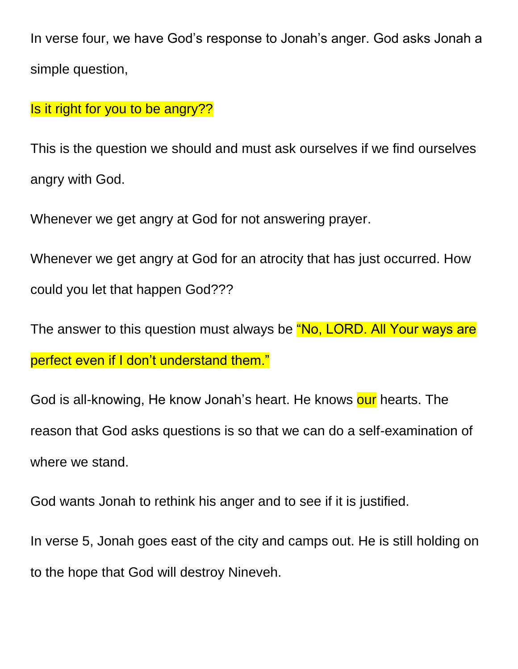In verse four, we have God's response to Jonah's anger. God asks Jonah a simple question,

#### Is it right for you to be angry??

This is the question we should and must ask ourselves if we find ourselves angry with God.

Whenever we get angry at God for not answering prayer.

Whenever we get angry at God for an atrocity that has just occurred. How could you let that happen God???

The answer to this question must always be "No, LORD. All Your ways are perfect even if I don't understand them."

God is all-knowing, He know Jonah's heart. He knows our hearts. The reason that God asks questions is so that we can do a self-examination of where we stand.

God wants Jonah to rethink his anger and to see if it is justified.

In verse 5, Jonah goes east of the city and camps out. He is still holding on to the hope that God will destroy Nineveh.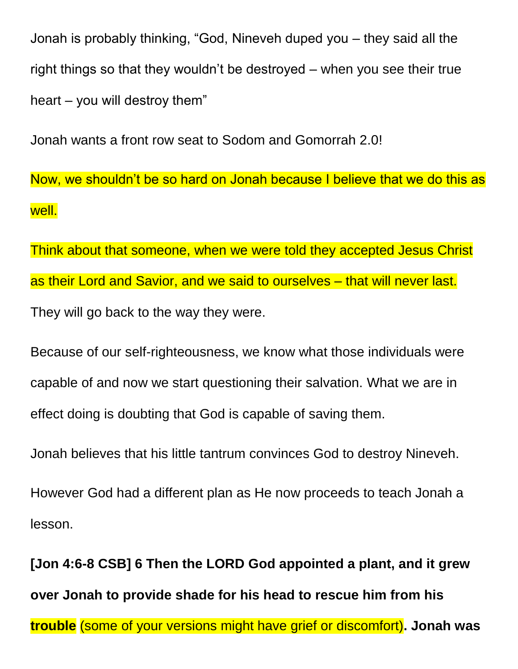Jonah is probably thinking, "God, Nineveh duped you – they said all the right things so that they wouldn't be destroyed – when you see their true heart – you will destroy them"

Jonah wants a front row seat to Sodom and Gomorrah 2.0!

Now, we shouldn't be so hard on Jonah because I believe that we do this as well.

Think about that someone, when we were told they accepted Jesus Christ as their Lord and Savior, and we said to ourselves – that will never last. They will go back to the way they were.

Because of our self-righteousness, we know what those individuals were capable of and now we start questioning their salvation. What we are in effect doing is doubting that God is capable of saving them.

Jonah believes that his little tantrum convinces God to destroy Nineveh.

However God had a different plan as He now proceeds to teach Jonah a lesson.

**[Jon 4:6-8 CSB] 6 Then the LORD God appointed a plant, and it grew over Jonah to provide shade for his head to rescue him from his trouble** (some of your versions might have grief or discomfort)**. Jonah was**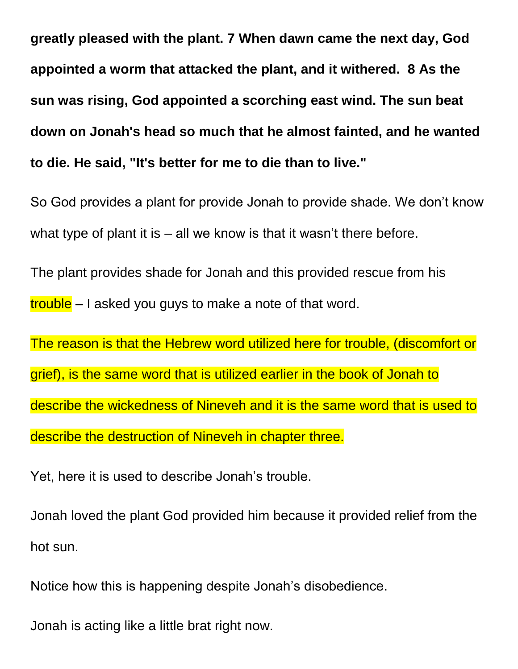**greatly pleased with the plant. 7 When dawn came the next day, God appointed a worm that attacked the plant, and it withered. 8 As the sun was rising, God appointed a scorching east wind. The sun beat down on Jonah's head so much that he almost fainted, and he wanted to die. He said, "It's better for me to die than to live."**

So God provides a plant for provide Jonah to provide shade. We don't know what type of plant it is – all we know is that it wasn't there before.

The plant provides shade for Jonah and this provided rescue from his trouble – I asked you guys to make a note of that word.

The reason is that the Hebrew word utilized here for trouble, (discomfort or grief), is the same word that is utilized earlier in the book of Jonah to describe the wickedness of Nineveh and it is the same word that is used to describe the destruction of Nineveh in chapter three.

Yet, here it is used to describe Jonah's trouble.

Jonah loved the plant God provided him because it provided relief from the hot sun.

Notice how this is happening despite Jonah's disobedience.

Jonah is acting like a little brat right now.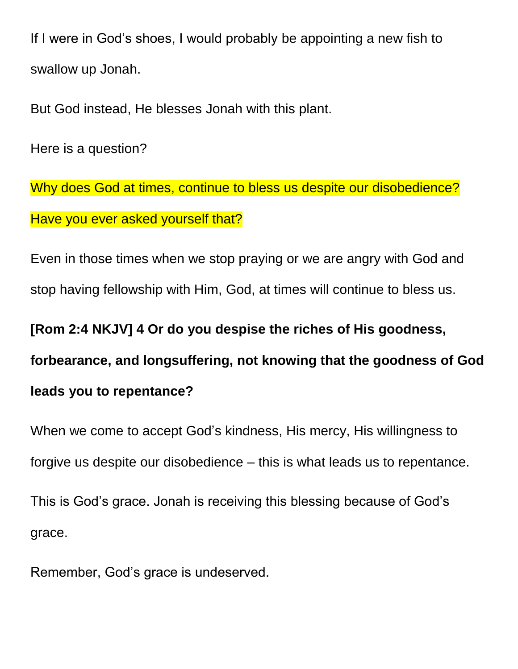If I were in God's shoes, I would probably be appointing a new fish to swallow up Jonah.

But God instead, He blesses Jonah with this plant.

Here is a question?

Why does God at times, continue to bless us despite our disobedience? Have you ever asked yourself that?

Even in those times when we stop praying or we are angry with God and stop having fellowship with Him, God, at times will continue to bless us.

**[Rom 2:4 NKJV] 4 Or do you despise the riches of His goodness,** 

**forbearance, and longsuffering, not knowing that the goodness of God** 

#### **leads you to repentance?**

When we come to accept God's kindness, His mercy, His willingness to forgive us despite our disobedience – this is what leads us to repentance.

This is God's grace. Jonah is receiving this blessing because of God's grace.

Remember, God's grace is undeserved.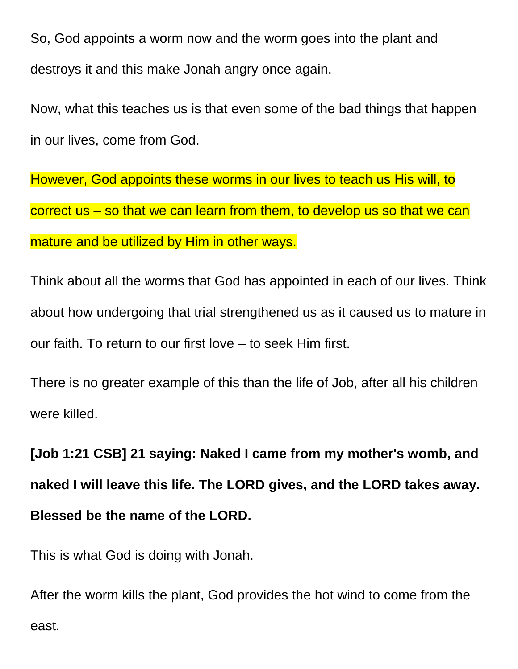So, God appoints a worm now and the worm goes into the plant and destroys it and this make Jonah angry once again.

Now, what this teaches us is that even some of the bad things that happen in our lives, come from God.

However, God appoints these worms in our lives to teach us His will, to correct us – so that we can learn from them, to develop us so that we can mature and be utilized by Him in other ways.

Think about all the worms that God has appointed in each of our lives. Think about how undergoing that trial strengthened us as it caused us to mature in our faith. To return to our first love – to seek Him first.

There is no greater example of this than the life of Job, after all his children were killed.

**[Job 1:21 CSB] 21 saying: Naked I came from my mother's womb, and naked I will leave this life. The LORD gives, and the LORD takes away. Blessed be the name of the LORD.**

This is what God is doing with Jonah.

After the worm kills the plant, God provides the hot wind to come from the east.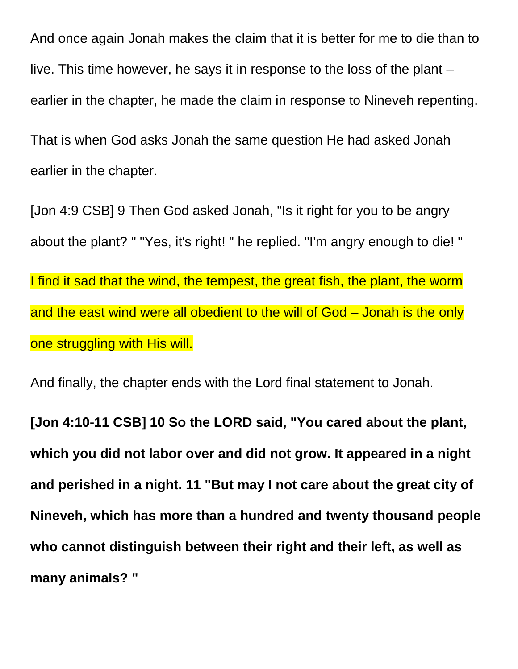And once again Jonah makes the claim that it is better for me to die than to live. This time however, he says it in response to the loss of the plant – earlier in the chapter, he made the claim in response to Nineveh repenting. That is when God asks Jonah the same question He had asked Jonah earlier in the chapter.

[Jon 4:9 CSB] 9 Then God asked Jonah, "Is it right for you to be angry about the plant? " "Yes, it's right! " he replied. "I'm angry enough to die! " I find it sad that the wind, the tempest, the great fish, the plant, the worm and the east wind were all obedient to the will of God – Jonah is the only one struggling with His will.

And finally, the chapter ends with the Lord final statement to Jonah.

**[Jon 4:10-11 CSB] 10 So the LORD said, "You cared about the plant, which you did not labor over and did not grow. It appeared in a night and perished in a night. 11 "But may I not care about the great city of Nineveh, which has more than a hundred and twenty thousand people who cannot distinguish between their right and their left, as well as many animals? "**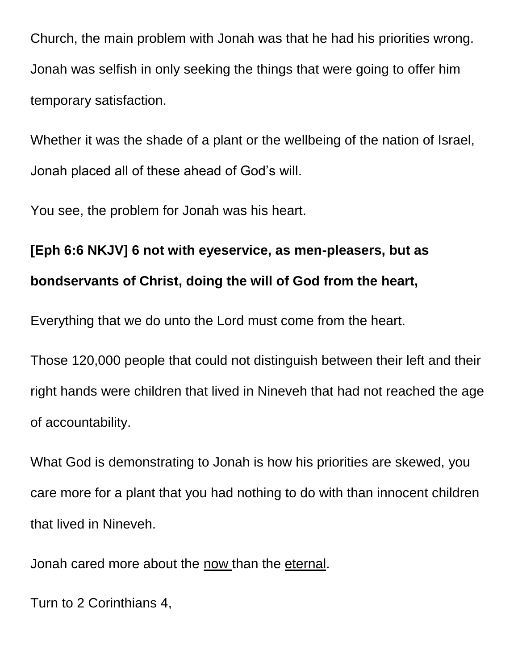Church, the main problem with Jonah was that he had his priorities wrong. Jonah was selfish in only seeking the things that were going to offer him temporary satisfaction.

Whether it was the shade of a plant or the wellbeing of the nation of Israel, Jonah placed all of these ahead of God's will.

You see, the problem for Jonah was his heart.

# **[Eph 6:6 NKJV] 6 not with eyeservice, as men-pleasers, but as bondservants of Christ, doing the will of God from the heart,**

Everything that we do unto the Lord must come from the heart.

Those 120,000 people that could not distinguish between their left and their right hands were children that lived in Nineveh that had not reached the age of accountability.

What God is demonstrating to Jonah is how his priorities are skewed, you care more for a plant that you had nothing to do with than innocent children that lived in Nineveh.

Jonah cared more about the now than the eternal.

Turn to 2 Corinthians 4,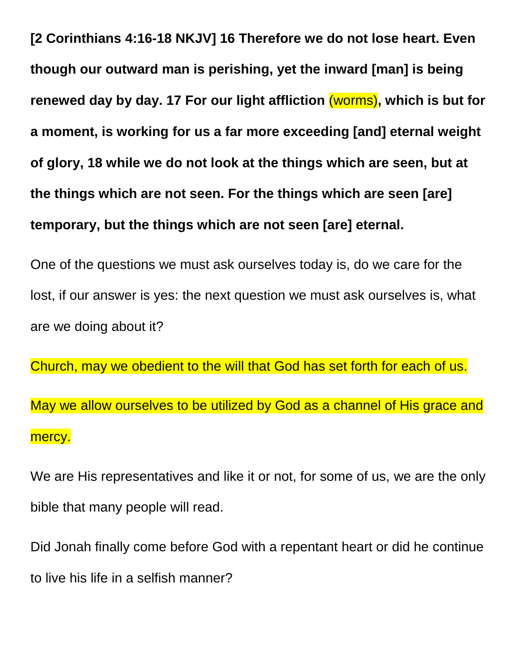**[2 Corinthians 4:16-18 NKJV] 16 Therefore we do not lose heart. Even though our outward man is perishing, yet the inward [man] is being renewed day by day. 17 For our light affliction** (worms)**, which is but for a moment, is working for us a far more exceeding [and] eternal weight of glory, 18 while we do not look at the things which are seen, but at the things which are not seen. For the things which are seen [are] temporary, but the things which are not seen [are] eternal.**

One of the questions we must ask ourselves today is, do we care for the lost, if our answer is yes: the next question we must ask ourselves is, what are we doing about it?

Church, may we obedient to the will that God has set forth for each of us. May we allow ourselves to be utilized by God as a channel of His grace and mercy.

We are His representatives and like it or not, for some of us, we are the only bible that many people will read.

Did Jonah finally come before God with a repentant heart or did he continue to live his life in a selfish manner?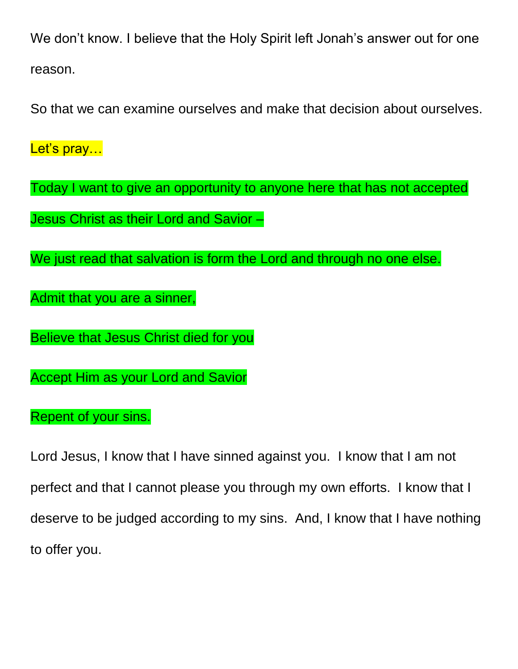We don't know. I believe that the Holy Spirit left Jonah's answer out for one reason.

So that we can examine ourselves and make that decision about ourselves.

Let's pray...

Today I want to give an opportunity to anyone here that has not accepted Jesus Christ as their Lord and Savior –

We just read that salvation is form the Lord and through no one else.

Admit that you are a sinner,

Believe that Jesus Christ died for you

Accept Him as your Lord and Savior

Repent of your sins.

Lord Jesus, I know that I have sinned against you. I know that I am not perfect and that I cannot please you through my own efforts. I know that I deserve to be judged according to my sins. And, I know that I have nothing to offer you.